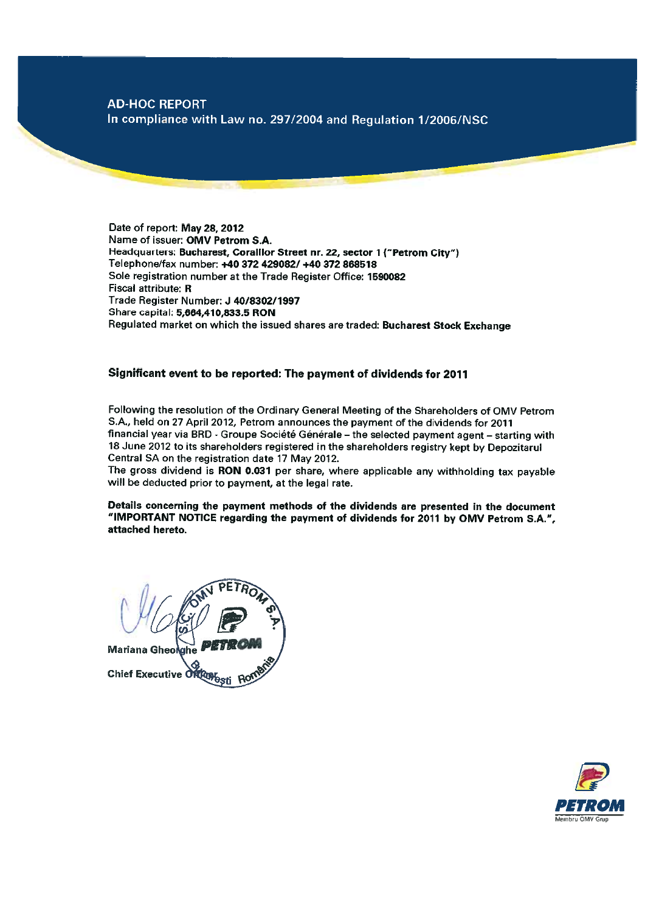# **AD-HOC REPORT**

In compliance with Law no. 297/2004 and Regulation 1/2006/NSC

Date of report: May 28, 2012 Name of issuer: OMV Petrom S.A. Headquarters: Bucharest, Coralilor Street nr. 22, sector 1 ("Petrom City") Telephone/fax number: +40 372 429082/ +40 372 868518 Sole registration number at the Trade Register Office: 1590082 Fiscal attribute: R Trade Register Number: J 40/8302/1997 Share capital: 5,664,410,833.5 RON Regulated market on which the issued shares are traded: Bucharest Stock Exchange

# Significant event to be reported: The payment of dividends for 2011

Following the resolution of the Ordinary General Meeting of the Shareholders of OMV Petrom S.A., held on 27 April 2012, Petrom announces the payment of the dividends for 2011 financial year via BRD - Groupe Société Générale - the selected payment agent - starting with 18 June 2012 to its shareholders registered in the shareholders registry kept by Depozitarul Central SA on the registration date 17 May 2012.

The gross dividend is RON 0.031 per share, where applicable any withholding tax payable will be deducted prior to payment, at the legal rate.

Details concerning the payment methods of the dividends are presented in the document "IMPORTANT NOTICE regarding the payment of dividends for 2011 by OMV Petrom S.A.", attached hereto.

Mariana Gheolghe Chief Executive Oftlangsti

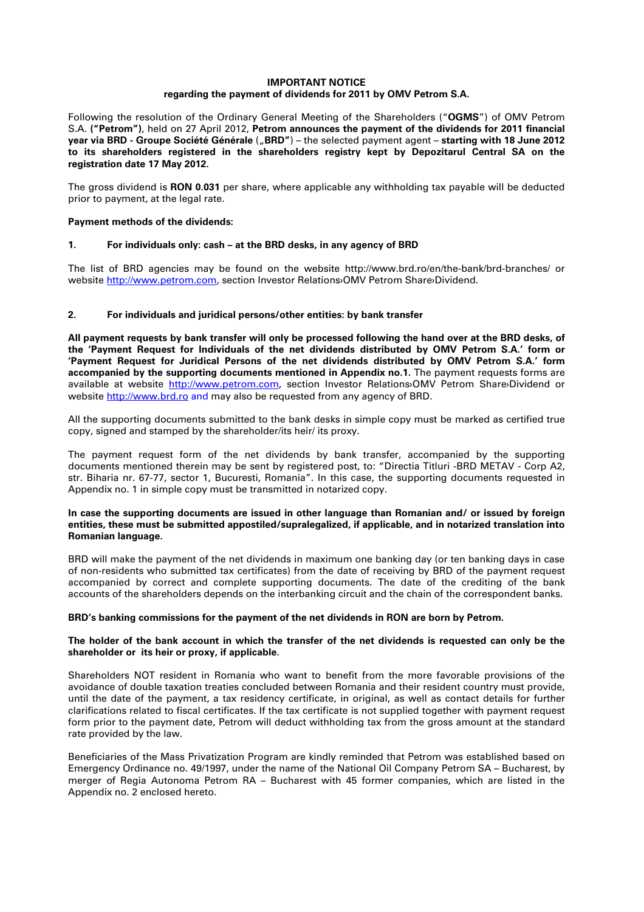# **IMPORTANT NOTICE regarding the payment of dividends for 2011 by OMV Petrom S.A.**

Following the resolution of the Ordinary General Meeting of the Shareholders ("**OGMS**") of OMV Petrom S.A. **("Petrom")**, held on 27 April 2012, **Petrom announces the payment of the dividends for 2011 financial year via BRD - Groupe Société Générale** ("**BRD"**) – the selected payment agent – **starting with 18 June 2012 to its shareholders registered in the shareholders registry kept by Depozitarul Central SA on the registration date 17 May 2012.**

The gross dividend is **RON 0.031** per share, where applicable any withholding tax payable will be deducted prior to payment, at the legal rate.

### **Payment methods of the dividends:**

### **1. For individuals only: cash – at the BRD desks, in any agency of BRD**

The list of BRD agencies may be found on the website http://www.brd.ro/en/the-bank/brd-branches/ or website http://www.petrom.com, section Investor Relations›OMV Petrom Share›Dividend.

### **2. For individuals and juridical persons/other entities: by bank transfer**

**All payment requests by bank transfer will only be processed following the hand over at the BRD desks, of the 'Payment Request for Individuals of the net dividends distributed by OMV Petrom S.A.' form or 'Payment Request for Juridical Persons of the net dividends distributed by OMV Petrom S.A.' form accompanied by the supporting documents mentioned in Appendix no.1.** The payment requests forms are available at website http://www.petrom.com, section Investor Relations>OMV Petrom Share>Dividend or website http://www.brd.ro and may also be requested from any agency of BRD.

All the supporting documents submitted to the bank desks in simple copy must be marked as certified true copy, signed and stamped by the shareholder/its heir/ its proxy.

The payment request form of the net dividends by bank transfer, accompanied by the supporting documents mentioned therein may be sent by registered post, to: "Directia Titluri -BRD METAV - Corp A2, str. Biharia nr. 67-77, sector 1, Bucuresti, Romania". In this case, the supporting documents requested in Appendix no. 1 in simple copy must be transmitted in notarized copy.

### **In case the supporting documents are issued in other language than Romanian and/ or issued by foreign entities, these must be submitted appostiled/supralegalized, if applicable, and in notarized translation into Romanian language.**

BRD will make the payment of the net dividends in maximum one banking day (or ten banking days in case of non-residents who submitted tax certificates) from the date of receiving by BRD of the payment request accompanied by correct and complete supporting documents. The date of the crediting of the bank accounts of the shareholders depends on the interbanking circuit and the chain of the correspondent banks.

### **BRD's banking commissions for the payment of the net dividends in RON are born by Petrom.**

### **The holder of the bank account in which the transfer of the net dividends is requested can only be the shareholder or its heir or proxy, if applicable.**

Shareholders NOT resident in Romania who want to benefit from the more favorable provisions of the avoidance of double taxation treaties concluded between Romania and their resident country must provide, until the date of the payment, a tax residency certificate, in original, as well as contact details for further clarifications related to fiscal certificates. If the tax certificate is not supplied together with payment request form prior to the payment date, Petrom will deduct withholding tax from the gross amount at the standard rate provided by the law.

Beneficiaries of the Mass Privatization Program are kindly reminded that Petrom was established based on Emergency Ordinance no. 49/1997, under the name of the National Oil Company Petrom SA – Bucharest, by merger of Regia Autonoma Petrom RA – Bucharest with 45 former companies, which are listed in the Appendix no. 2 enclosed hereto.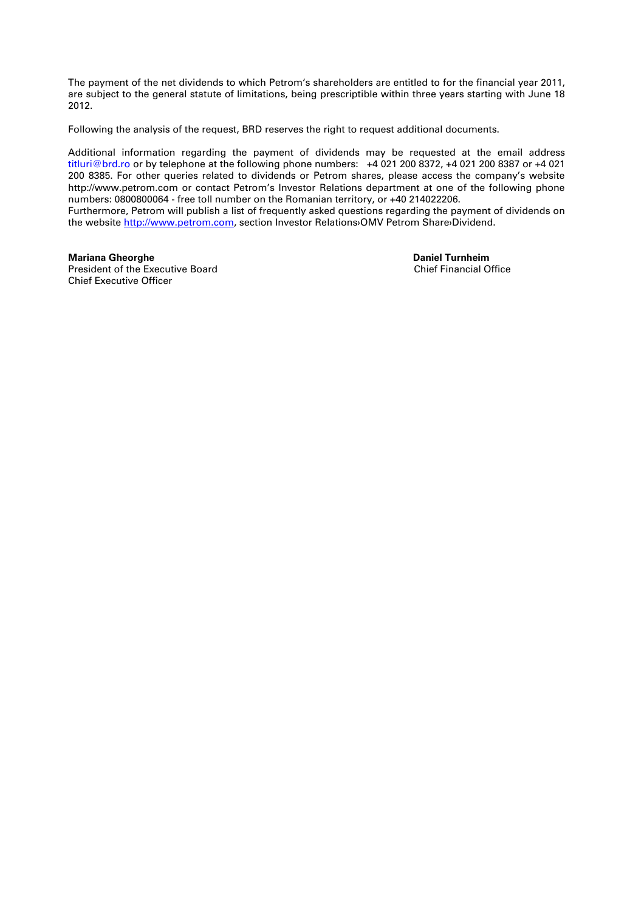The payment of the net dividends to which Petrom's shareholders are entitled to for the financial year 2011, are subject to the general statute of limitations, being prescriptible within three years starting with June 18 2012.

Following the analysis of the request, BRD reserves the right to request additional documents.

Additional information regarding the payment of dividends may be requested at the email address titluri@brd.ro or by telephone at the following phone numbers: +4 021 200 8372, +4 021 200 8387 or +4 021 200 8385. For other queries related to dividends or Petrom shares, please access the company's website http://www.petrom.com or contact Petrom's Investor Relations department at one of the following phone numbers: 0800800064 - free toll number on the Romanian territory, or +40 214022206. Furthermore, Petrom will publish a list of frequently asked questions regarding the payment of dividends on the website http://www.petrom.com, section Investor Relations›OMV Petrom Share›Dividend.

**Mariana Gheorghe Daniel Turnheim**<br> **President of the Executive Board Daniel Turnheim**<br> **President of the Executive Board** President of the Executive Board Chief Executive Officer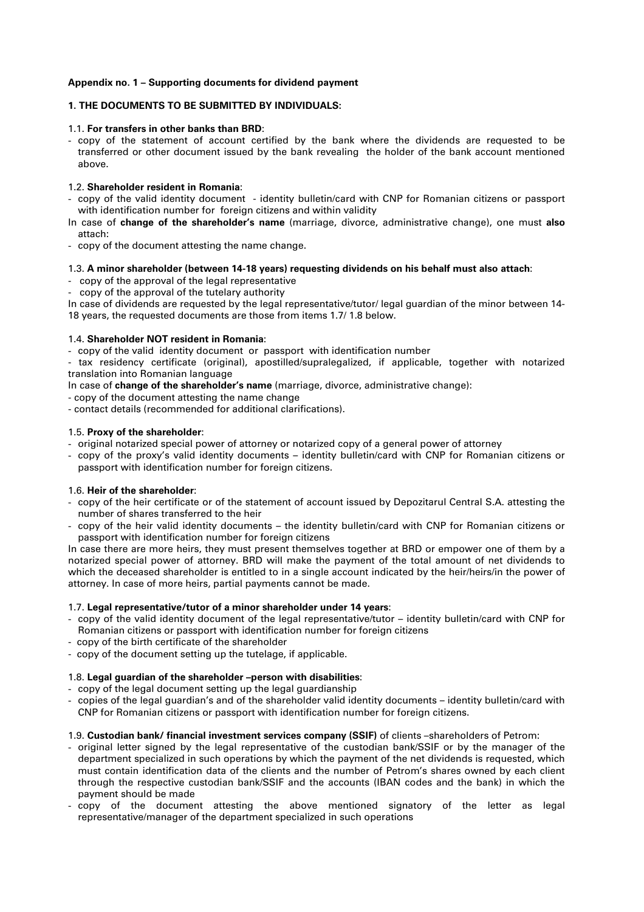# **Appendix no. 1 – Supporting documents for dividend payment**

# **1. THE DOCUMENTS TO BE SUBMITTED BY INDIVIDUALS:**

### 1.1. **For transfers in other banks than BRD**:

- copy of the statement of account certified by the bank where the dividends are requested to be transferred or other document issued by the bank revealing the holder of the bank account mentioned above.

# 1.2. **Shareholder resident in Romania**:

- copy of the valid identity document identity bulletin/card with CNP for Romanian citizens or passport with identification number for foreign citizens and within validity
- In case of **change of the shareholder's name** (marriage, divorce, administrative change), one must **also** attach:
- copy of the document attesting the name change.

# 1.3. **A minor shareholder (between 14-18 years) requesting dividends on his behalf must also attach**:

- copy of the approval of the legal representative

- copy of the approval of the tutelary authority

In case of dividends are requested by the legal representative/tutor/ legal guardian of the minor between 14- 18 years, the requested documents are those from items 1.7/ 1.8 below.

#### 1.4. **Shareholder NOT resident in Romania**:

- copy of the valid identity document or passport with identification number

- tax residency certificate (original), apostilled/supralegalized, if applicable, together with notarized translation into Romanian language

In case of **change of the shareholder's name** (marriage, divorce, administrative change):

- copy of the document attesting the name change

- contact details (recommended for additional clarifications).

#### 1.5. **Proxy of the shareholder**:

- original notarized special power of attorney or notarized copy of a general power of attorney
- copy of the proxy's valid identity documents identity bulletin/card with CNP for Romanian citizens or passport with identification number for foreign citizens.

# 1.6. **Heir of the shareholder**:

- copy of the heir certificate or of the statement of account issued by Depozitarul Central S.A. attesting the number of shares transferred to the heir
- copy of the heir valid identity documents the identity bulletin/card with CNP for Romanian citizens or passport with identification number for foreign citizens

In case there are more heirs, they must present themselves together at BRD or empower one of them by a notarized special power of attorney. BRD will make the payment of the total amount of net dividends to which the deceased shareholder is entitled to in a single account indicated by the heir/heirs/in the power of attorney. In case of more heirs, partial payments cannot be made.

#### 1.7. **Legal representative/tutor of a minor shareholder under 14 years**:

- copy of the valid identity document of the legal representative/tutor identity bulletin/card with CNP for Romanian citizens or passport with identification number for foreign citizens
- copy of the birth certificate of the shareholder
- copy of the document setting up the tutelage, if applicable.

#### 1.8. **Legal guardian of the shareholder –person with disabilities**:

- copy of the legal document setting up the legal guardianship
- copies of the legal guardian's and of the shareholder valid identity documents identity bulletin/card with CNP for Romanian citizens or passport with identification number for foreign citizens.

#### 1.9. **Custodian bank/ financial investment services company (SSIF)** of clients –shareholders of Petrom:

- original letter signed by the legal representative of the custodian bank/SSIF or by the manager of the department specialized in such operations by which the payment of the net dividends is requested, which must contain identification data of the clients and the number of Petrom's shares owned by each client through the respective custodian bank/SSIF and the accounts (IBAN codes and the bank) in which the payment should be made
- copy of the document attesting the above mentioned signatory of the letter as legal representative/manager of the department specialized in such operations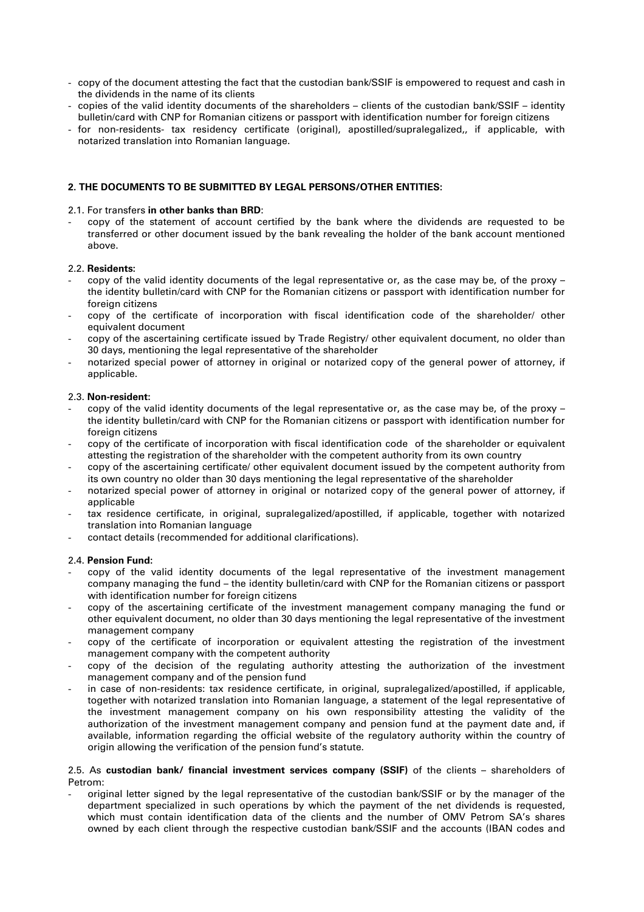- copy of the document attesting the fact that the custodian bank/SSIF is empowered to request and cash in the dividends in the name of its clients
- copies of the valid identity documents of the shareholders clients of the custodian bank/SSIF identity bulletin/card with CNP for Romanian citizens or passport with identification number for foreign citizens
- for non-residents- tax residency certificate (original), apostilled/supralegalized,, if applicable, with notarized translation into Romanian language.

# **2. THE DOCUMENTS TO BE SUBMITTED BY LEGAL PERSONS/OTHER ENTITIES:**

### 2.1. For transfers **in other banks than BRD**:

- copy of the statement of account certified by the bank where the dividends are requested to be transferred or other document issued by the bank revealing the holder of the bank account mentioned above.

### 2.2. **Residents:**

- copy of the valid identity documents of the legal representative or, as the case may be, of the proxy the identity bulletin/card with CNP for the Romanian citizens or passport with identification number for foreign citizens
- copy of the certificate of incorporation with fiscal identification code of the shareholder/ other equivalent document
- copy of the ascertaining certificate issued by Trade Registry/ other equivalent document, no older than 30 days, mentioning the legal representative of the shareholder
- notarized special power of attorney in original or notarized copy of the general power of attorney, if applicable.

### 2.3. **Non-resident:**

- copy of the valid identity documents of the legal representative or, as the case may be, of the proxy the identity bulletin/card with CNP for the Romanian citizens or passport with identification number for foreign citizens
- copy of the certificate of incorporation with fiscal identification code of the shareholder or equivalent attesting the registration of the shareholder with the competent authority from its own country
- copy of the ascertaining certificate/ other equivalent document issued by the competent authority from its own country no older than 30 days mentioning the legal representative of the shareholder
- notarized special power of attorney in original or notarized copy of the general power of attorney, if applicable
- tax residence certificate, in original, supralegalized/apostilled, if applicable, together with notarized translation into Romanian language
- contact details (recommended for additional clarifications).

# 2.4. **Pension Fund:**

- copy of the valid identity documents of the legal representative of the investment management company managing the fund – the identity bulletin/card with CNP for the Romanian citizens or passport with identification number for foreign citizens
- copy of the ascertaining certificate of the investment management company managing the fund or other equivalent document, no older than 30 days mentioning the legal representative of the investment management company
- copy of the certificate of incorporation or equivalent attesting the registration of the investment management company with the competent authority
- copy of the decision of the regulating authority attesting the authorization of the investment management company and of the pension fund
- in case of non-residents: tax residence certificate, in original, supralegalized/apostilled, if applicable, together with notarized translation into Romanian language, a statement of the legal representative of the investment management company on his own responsibility attesting the validity of the authorization of the investment management company and pension fund at the payment date and, if available, information regarding the official website of the regulatory authority within the country of origin allowing the verification of the pension fund's statute.

### 2.5. As **custodian bank/ financial investment services company (SSIF)** of the clients – shareholders of Petrom:

- original letter signed by the legal representative of the custodian bank/SSIF or by the manager of the department specialized in such operations by which the payment of the net dividends is requested, which must contain identification data of the clients and the number of OMV Petrom SA's shares owned by each client through the respective custodian bank/SSIF and the accounts (IBAN codes and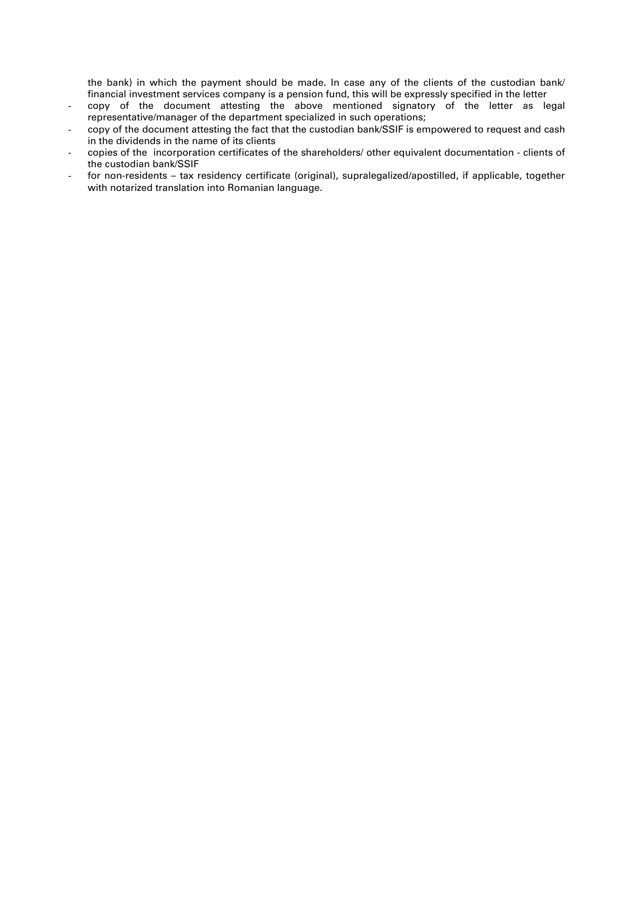the bank) in which the payment should be made. In case any of the clients of the custodian bank/ financial investment services company is a pension fund, this will be expressly specified in the letter

- copy of the document attesting the above mentioned signatory of the letter as legal representative/manager of the department specialized in such operations;
- copy of the document attesting the fact that the custodian bank/SSIF is empowered to request and cash in the dividends in the name of its clients
- copies of the incorporation certificates of the shareholders/ other equivalent documentation clients of the custodian bank/SSIF
- for non-residents tax residency certificate (original), supralegalized/apostilled, if applicable, together with notarized translation into Romanian language.